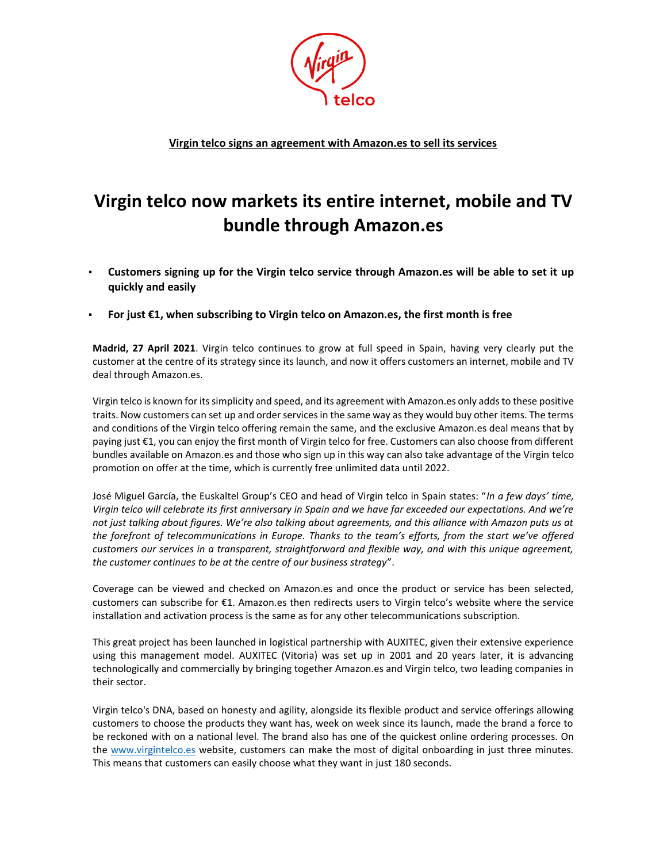

**Virgin telco signs an agreement with Amazon.es to sell its services** 

## **Virgin telco now markets its entire internet, mobile and TV bundle through Amazon.es**

- **Customers signing up for the Virgin telco service through Amazon.es will be able to set it up quickly and easily**
- **For just €1, when subscribing to Virgin telco on Amazon.es, the first month is free**

**Madrid, 27 April 2021**. Virgin telco continues to grow at full speed in Spain, having very clearly put the customer at the centre of its strategy since its launch, and now it offers customers an internet, mobile and TV deal through Amazon.es.

Virgin telco is known for its simplicity and speed, and its agreement with Amazon.es only adds to these positive traits. Now customers can set up and order services in the same way as they would buy other items. The terms and conditions of the Virgin telco offering remain the same, and the exclusive Amazon.es deal means that by paying just €1, you can enjoy the first month of Virgin telco for free. Customers can also choose from different bundles available on Amazon.es and those who sign up in this way can also take advantage of the Virgin telco promotion on offer at the time, which is currently free unlimited data until 2022.

José Miguel García, the Euskaltel Group's CEO and head of Virgin telco in Spain states: "*In a few days' time, Virgin telco will celebrate its first anniversary in Spain and we have far exceeded our expectations. And we're*  not just talking about figures. We're also talking about agreements, and this alliance with Amazon puts us at *the forefront of telecommunications in Europe. Thanks to the team's efforts, from the start we've offered customers our services in a transparent, straightforward and flexible way, and with this unique agreement, the customer continues to be at the centre of our business strategy*".

Coverage can be viewed and checked on Amazon.es and once the product or service has been selected, customers can subscribe for €1. Amazon.es then redirects users to Virgin telco's website where the service installation and activation process is the same as for any other telecommunications subscription.

This great project has been launched in logistical partnership with AUXITEC, given their extensive experience using this management model. AUXITEC (Vitoria) was set up in 2001 and 20 years later, it is advancing technologically and commercially by bringing together Amazon.es and Virgin telco, two leading companies in their sector.

Virgin telco's DNA, based on honesty and agility, alongside its flexible product and service offerings allowing customers to choose the products they want has, week on week since its launch, made the brand a force to be reckoned with on a national level. The brand also has one of the quickest online ordering processes. On the [www.virgintelco.es](http://www.virgintelco.es/) website, customers can make the most of digital onboarding in just three minutes. This means that customers can easily choose what they want in just 180 seconds.